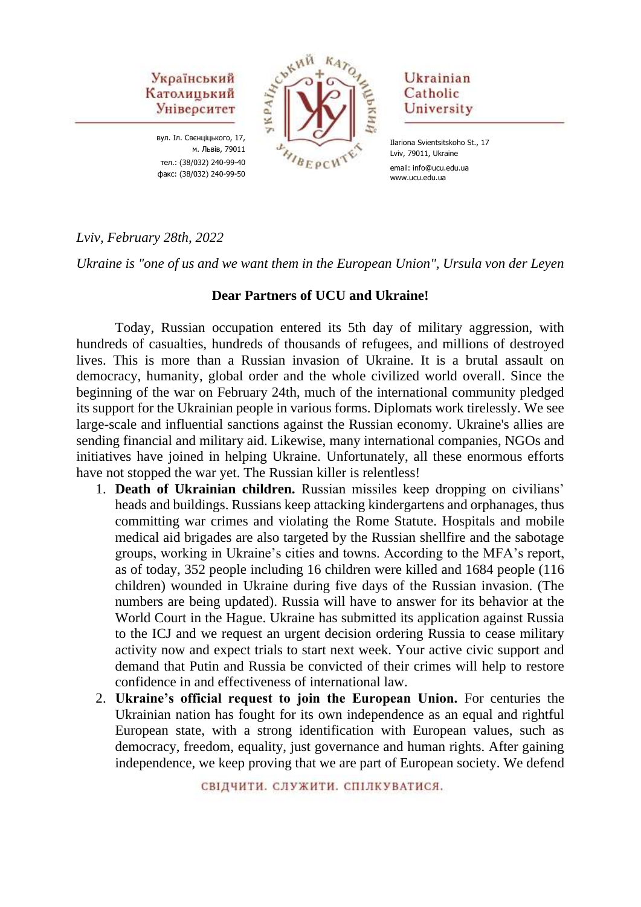

вул. Іл. Свєнціцького, 17, м. Львів, 79011 тел.: (38/032) 240-99-40 факс: (38/032) 240-99-50



# Ukrainian Catholic University

Ilariona Svientsitskoho St., 17 Lviv, 79011, Ukraine email: info@ucu.edu.ua www.ucu.edu.ua

## *Lviv, February 28th, 2022*

*Ukraine is "one of us and we want them in the European Union", Ursula von der Leyen*

#### **Dear Partners of UCU and Ukraine!**

Today, Russian occupation entered its 5th day of military aggression, with hundreds of casualties, hundreds of thousands of refugees, and millions of destroyed lives. This is more than a Russian invasion of Ukraine. It is a brutal assault on democracy, humanity, global order and the whole civilized world overall. Since the beginning of the war on February 24th, much of the international community pledged its support for the Ukrainian people in various forms. Diplomats work tirelessly. We see large-scale and influential sanctions against the Russian economy. Ukraine's allies are sending financial and military aid. Likewise, many international companies, NGOs and initiatives have joined in helping Ukraine. Unfortunately, all these enormous efforts have not stopped the war yet. The Russian killer is relentless!

- 1. **Death of Ukrainian children.** Russian missiles keep dropping on civilians' heads and buildings. Russians keep attacking kindergartens and orphanages, thus committing war crimes and violating the Rome Statute. Hospitals and mobile medical aid brigades are also targeted by the Russian shellfire and the sabotage groups, working in Ukraine's cities and towns. According to the MFA's report, as of today, 352 people including 16 children were killed and 1684 people (116 children) wounded in Ukraine during five days of the Russian invasion. (The numbers are being updated). Russia will have to answer for its behavior at the World Court in the Hague. Ukraine has submitted its application against Russia to the ICJ and we request an urgent decision ordering Russia to cease military activity now and expect trials to start next week. Your active civic support and demand that Putin and Russia be convicted of their crimes will help to restore confidence in and effectiveness of international law.
- 2. **Ukraine's official request to join the European Union.** For centuries the Ukrainian nation has fought for its own independence as an equal and rightful European state, with a strong identification with European values, such as democracy, freedom, equality, just governance and human rights. After gaining independence, we keep proving that we are part of European society. We defend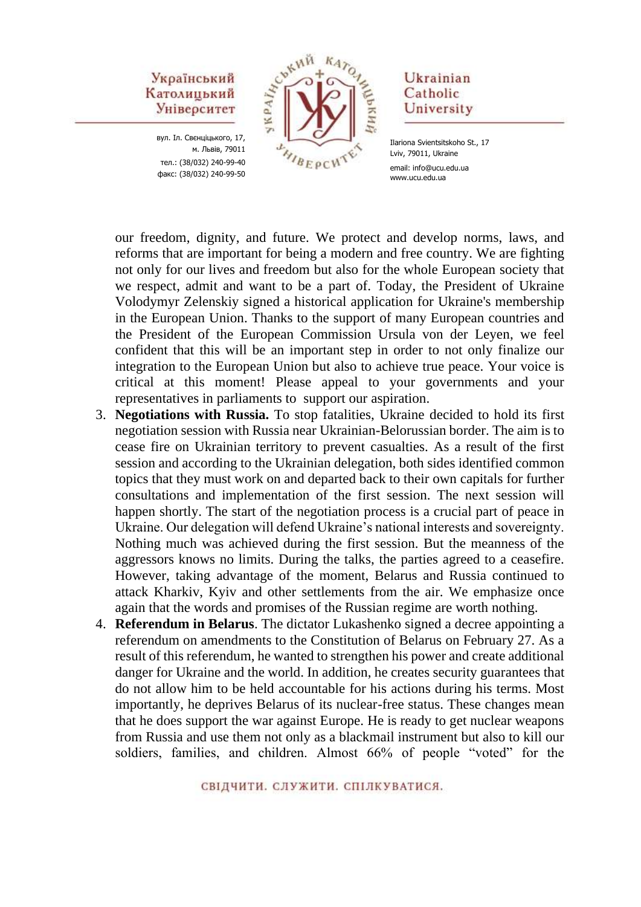вул. Іл. Свєнціцького, 17, м. Львів, 79011 тел.: (38/032) 240-99-40 факс: (38/032) 240-99-50



### Ukrainian Catholic University

Ilariona Svientsitskoho St., 17 Lviv, 79011, Ukraine email: info@ucu.edu.ua www.ucu.edu.ua

our freedom, dignity, and future. We protect and develop norms, laws, and reforms that are important for being a modern and free country. We are fighting not only for our lives and freedom but also for the whole European society that we respect, admit and want to be a part of. Today, the President of Ukraine Volodymyr Zelenskiy signed a historical application for Ukraine's membership in the European Union. Thanks to the support of many European countries and the President of the European Commission Ursula von der Leyen, we feel confident that this will be an important step in order to not only finalize our integration to the European Union but also to achieve true peace. Your voice is critical at this moment! Please appeal to your governments and your representatives in parliaments to support our aspiration.

- 3. **Negotiations with Russia.** To stop fatalities, Ukraine decided to hold its first negotiation session with Russia near Ukrainian-Belorussian border. The aim is to cease fire on Ukrainian territory to prevent casualties. As a result of the first session and according to the Ukrainian delegation, both sides identified common topics that they must work on and departed back to their own capitals for further consultations and implementation of the first session. The next session will happen shortly. The start of the negotiation process is a crucial part of peace in Ukraine. Our delegation will defend Ukraine's national interests and sovereignty. Nothing much was achieved during the first session. But the meanness of the aggressors knows no limits. During the talks, the parties agreed to a ceasefire. However, taking advantage of the moment, Belarus and Russia continued to attack Kharkiv, Kyiv and other settlements from the air. We emphasize once again that the words and promises of the Russian regime are worth nothing.
- 4. **Referendum in Belarus**. The dictator Lukashenko signed a decree appointing a referendum on amendments to the Constitution of Belarus on February 27. As a result of this referendum, he wanted to strengthen his power and create additional danger for Ukraine and the world. In addition, he creates security guarantees that do not allow him to be held accountable for his actions during his terms. Most importantly, he deprives Belarus of its nuclear-free status. These changes mean that he does support the war against Europe. He is ready to get nuclear weapons from Russia and use them not only as a blackmail instrument but also to kill our soldiers, families, and children. Almost 66% of people "voted" for the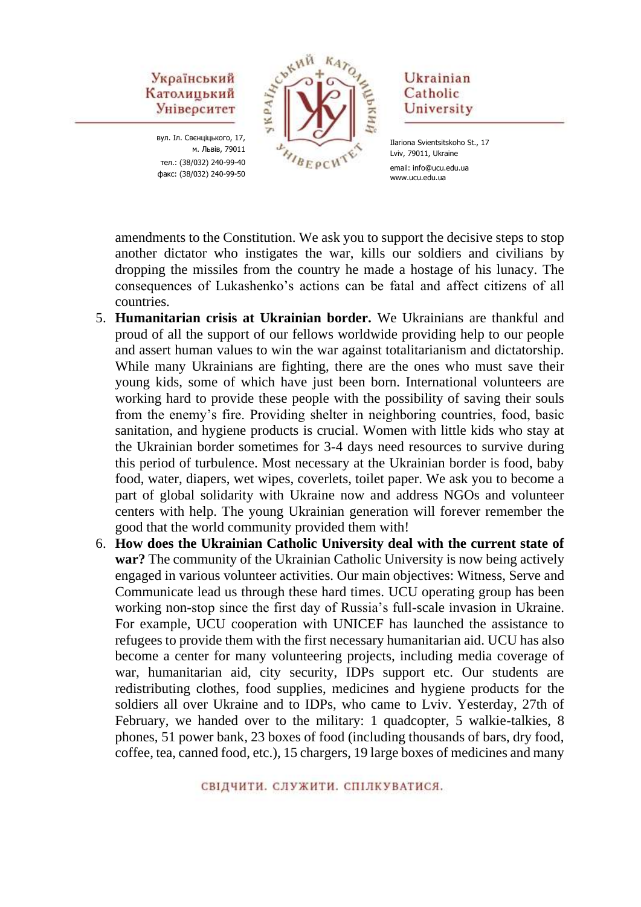вул. Іл. Свєнціцького, 17, м. Львів, 79011 тел.: (38/032) 240-99-40 факс: (38/032) 240-99-50



## Ukrainian Catholic University

Ilariona Svientsitskoho St., 17 Lviv, 79011, Ukraine email: info@ucu.edu.ua www.ucu.edu.ua

amendments to the Constitution. We ask you to support the decisive steps to stop another dictator who instigates the war, kills our soldiers and civilians by dropping the missiles from the country he made a hostage of his lunacy. The consequences of Lukashenko's actions can be fatal and affect citizens of all countries.

- 5. **Humanitarian crisis at Ukrainian border.** We Ukrainians are thankful and proud of all the support of our fellows worldwide providing help to our people and assert human values to win the war against totalitarianism and dictatorship. While many Ukrainians are fighting, there are the ones who must save their young kids, some of which have just been born. International volunteers are working hard to provide these people with the possibility of saving their souls from the enemy's fire. Providing shelter in neighboring countries, food, basic sanitation, and hygiene products is crucial. Women with little kids who stay at the Ukrainian border sometimes for 3-4 days need resources to survive during this period of turbulence. Most necessary at the Ukrainian border is food, baby food, water, diapers, wet wipes, coverlets, toilet paper. We ask you to become a part of global solidarity with Ukraine now and address NGOs and volunteer centers with help. The young Ukrainian generation will forever remember the good that the world community provided them with!
- 6. **How does the Ukrainian Catholic University deal with the current state of war?** The community of the Ukrainian Catholic University is now being actively engaged in various volunteer activities. Our main objectives: Witness, Serve and Communicate lead us through these hard times. UCU operating group has been working non-stop since the first day of Russia's full-scale invasion in Ukraine. For example, UCU cooperation with UNICEF has launched the assistance to refugees to provide them with the first necessary humanitarian aid. UCU has also become a center for many volunteering projects, including media coverage of war, humanitarian aid, city security, IDPs support etc. Our students are redistributing clothes, food supplies, medicines and hygiene products for the soldiers all over Ukraine and to IDPs, who came to Lviv. Yesterday, 27th of February, we handed over to the military: 1 quadcopter, 5 walkie-talkies, 8 phones, 51 power bank, 23 boxes of food (including thousands of bars, dry food, coffee, tea, canned food, etc.), 15 chargers, 19 large boxes of medicines and many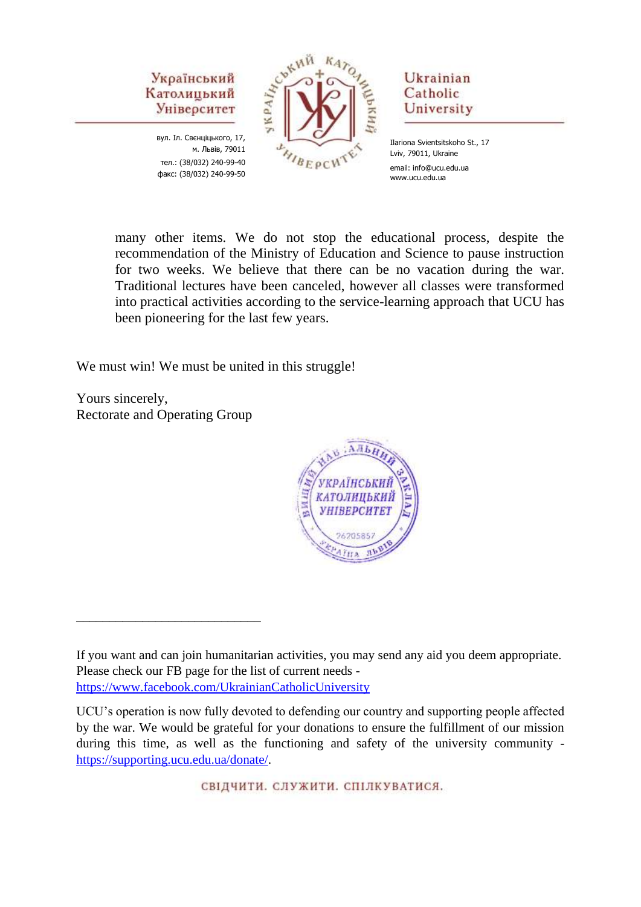

вул. Іл. Свєнціцького, 17, м. Львів, 79011 тел.: (38/032) 240-99-40 факс: (38/032) 240-99-50



## Ukrainian Catholic University

Ilariona Svientsitskoho St., 17 Lviv, 79011, Ukraine email: info@ucu.edu.ua www.ucu.edu.ua

many other items. We do not stop the educational process, despite the recommendation of the Ministry of Education and Science to pause instruction for two weeks. We believe that there can be no vacation during the war. Traditional lectures have been canceled, however all classes were transformed into practical activities according to the service-learning approach that UCU has been pioneering for the last few years.

We must win! We must be united in this struggle!

Yours sincerely, Rectorate and Operating Group

\_\_\_\_\_\_\_\_\_\_\_\_\_\_\_\_\_\_\_\_\_\_\_\_\_\_\_\_



СВІДЧИТИ, СЛУЖИТИ, СПІЛКУВАТИСЯ.

If you want and can join humanitarian activities, you may send any aid you deem appropriate. Please check our FB page for the list of current needs <https://www.facebook.com/UkrainianCatholicUniversity>

UCU's operation is now fully devoted to defending our country and supporting people affected by the war. We would be grateful for your donations to ensure the fulfillment of our mission during this time, as well as the functioning and safety of the university community [https://supporting.ucu.edu.ua/donate/.](https://supporting.ucu.edu.ua/donate/)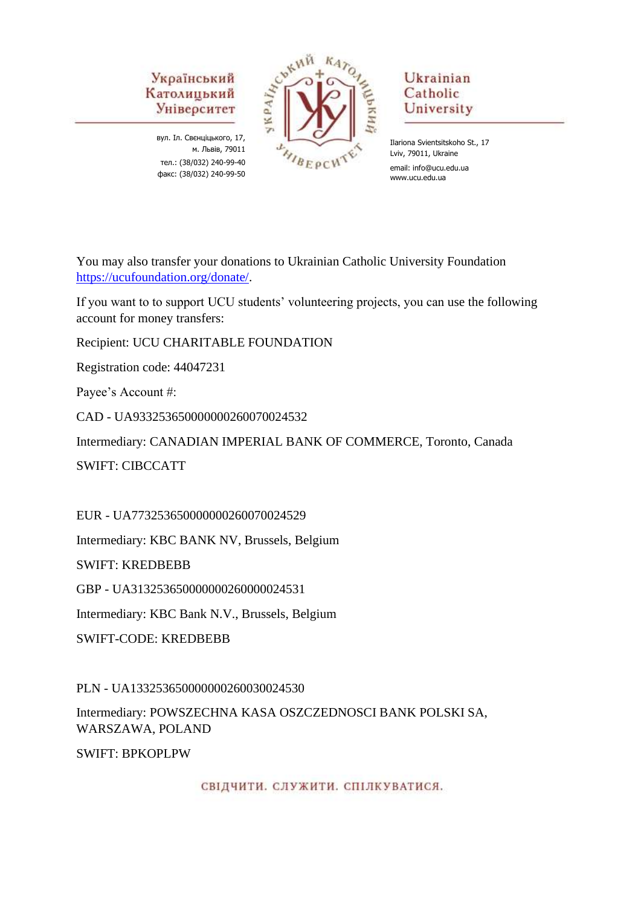вул. Іл. Свєнціцького, 17, м. Львів, 79011 тел.: (38/032) 240-99-40 факс: (38/032) 240-99-50



# Ukrainian Catholic University

Ilariona Svientsitskoho St., 17 Lviv, 79011, Ukraine email: info@ucu.edu.ua www.ucu.edu.ua

You may also transfer your donations to Ukrainian Catholic University Foundation [https://ucufoundation.org/donate/.](https://ucufoundation.org/donate/)

If you want to to support UCU students' volunteering projects, you can use the following account for money transfers:

Recipient: UCU CHARITABLE FOUNDATION

Registration code: 44047231

Payee's Account #:

CAD - UA933253650000000260070024532

Intermediary: CANADIAN IMPERIAL BANK OF COMMERCE, Toronto, Canada SWIFT: CIBCCATT

EUR - UA773253650000000260070024529

Intermediary: KBC BANK NV, Brussels, Belgium

SWIFT: KREDBEBB

GBP - UA313253650000000260000024531

Intermediary: KBC Bank N.V., Brussels, Belgium

SWIFT-CODE: KREDBEBB

PLN - UA133253650000000260030024530

Intermediary: POWSZECHNA KASA OSZCZEDNOSCI BANK POLSKI SA, WARSZAWA, POLAND

SWIFT: BPKOPLPW

СВІДЧИТИ. СЛУЖИТИ. СПІЛКУВАТИСЯ.